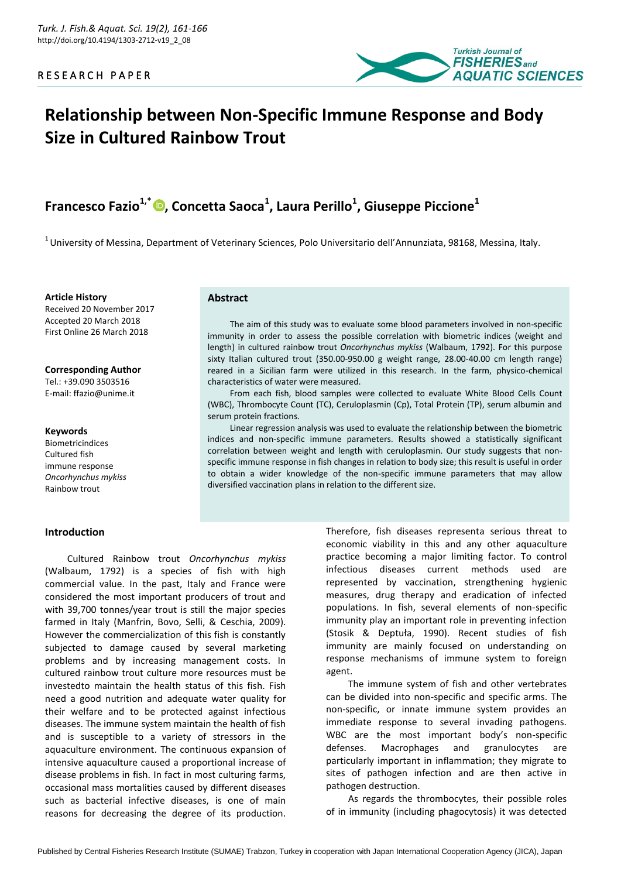

# **Relationship between Non-Specific Immune Response and Body Size in Cultured Rainbow Trout**

# **Francesco Fazio1,\* , Concetta Saoca<sup>1</sup> , Laura Perillo<sup>1</sup> , Giuseppe Piccione<sup>1</sup>**

 $1$ University of Messina, Department of Veterinary Sciences, Polo Universitario dell'Annunziata, 98168, Messina, Italy.

**Article History** Received 20 November 2017 Accepted 20 March 2018 First Online 26 March 2018

**Corresponding Author** Tel.: +39.090 3503516 E-mail: ffazio@unime.it

#### **Keywords**

Biometricindices Cultured fish immune response *Oncorhynchus mykiss* Rainbow trout

#### **Introduction**

Cultured Rainbow trout *Oncorhynchus mykiss* (Walbaum, 1792) is a species of fish with high commercial value. In the past, Italy and France were considered the most important producers of trout and with 39,700 tonnes/year trout is still the major species farmed in Italy (Manfrin, Bovo, Selli, & Ceschia, 2009). However the commercialization of this fish is constantly subjected to damage caused by several marketing problems and by increasing management costs. In cultured rainbow trout culture more resources must be investedto maintain the health status of this fish. Fish need a good nutrition and adequate water quality for their welfare and to be protected against infectious diseases. The immune system maintain the health of fish and is susceptible to a variety of stressors in the aquaculture environment. The continuous expansion of intensive aquaculture caused a proportional increase of disease problems in fish. In fact in most culturing farms, occasional mass mortalities caused by different diseases such as bacterial infective diseases, is one of main reasons for decreasing the degree of its production.

#### **Abstract**

The aim of this study was to evaluate some blood parameters involved in non-specific immunity in order to assess the possible correlation with biometric indices (weight and length) in cultured rainbow trout *Oncorhynchus mykiss* (Walbaum, 1792). For this purpose sixty Italian cultured trout (350.00-950.00 g weight range, 28.00-40.00 cm length range) reared in a Sicilian farm were utilized in this research. In the farm, physico-chemical characteristics of water were measured.

From each fish, blood samples were collected to evaluate White Blood Cells Count (WBC), Thrombocyte Count (TC), Ceruloplasmin (Cp), Total Protein (TP), serum albumin and serum protein fractions.

Linear regression analysis was used to evaluate the relationship between the biometric indices and non-specific immune parameters. Results showed a statistically significant correlation between weight and length with ceruloplasmin. Our study suggests that nonspecific immune response in fish changes in relation to body size; this result is useful in order to obtain a wider knowledge of the non-specific immune parameters that may allow diversified vaccination plans in relation to the different size.

> Therefore, fish diseases representa serious threat to economic viability in this and any other aquaculture practice becoming a major limiting factor. To control infectious diseases current methods used are represented by vaccination, strengthening hygienic measures, drug therapy and eradication of infected populations. In fish, several elements of non-specific immunity play an important role in preventing infection (Stosik & Deptuła, 1990). Recent studies of fish immunity are mainly focused on understanding on response mechanisms of immune system to foreign agent.

> The immune system of fish and other vertebrates can be divided into non-specific and specific arms. The non-specific, or innate immune system provides an immediate response to several invading pathogens. WBC are the most important body's non-specific defenses. Macrophages and granulocytes are particularly important in inflammation; they migrate to sites of pathogen infection and are then active in pathogen destruction.

> As regards the thrombocytes, their possible roles of in immunity (including phagocytosis) it was detected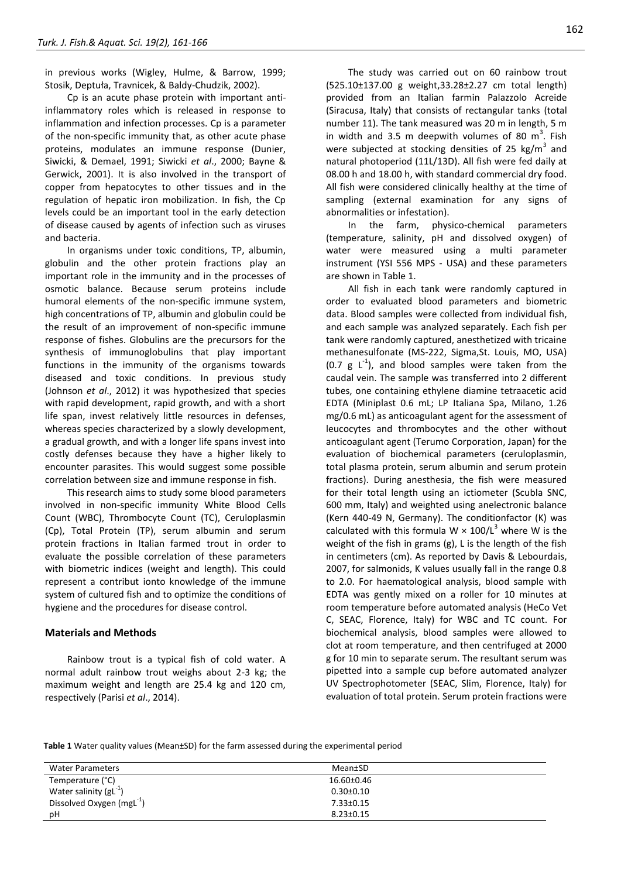in previous works (Wigley, Hulme, & Barrow, 1999; Stosik, Deptuła, Travnicek, & Baldy-Chudzik, 2002).

Cp is an acute phase protein with important antiinflammatory roles which is released in response to inflammation and infection processes. Cp is a parameter of the non-specific immunity that, as other acute phase proteins, modulates an immune response (Dunier, Siwicki, & Demael, 1991; Siwicki *et al*., 2000; Bayne & Gerwick, 2001). It is also involved in the transport of copper from hepatocytes to other tissues and in the regulation of hepatic iron mobilization. In fish, the Cp levels could be an important tool in the early detection of disease caused by agents of infection such as viruses and bacteria.

In organisms under toxic conditions, TP, albumin, globulin and the other protein fractions play an important role in the immunity and in the processes of osmotic balance. Because serum proteins include humoral elements of the non-specific immune system, high concentrations of TP, albumin and globulin could be the result of an improvement of non-specific immune response of fishes. Globulins are the precursors for the synthesis of immunoglobulins that play important functions in the immunity of the organisms towards diseased and toxic conditions. In previous study (Johnson *et al*., 2012) it was hypothesized that species with rapid development, rapid growth, and with a short life span, invest relatively little resources in defenses, whereas species characterized by a slowly development, a gradual growth, and with a longer life spans invest into costly defenses because they have a higher likely to encounter parasites. This would suggest some possible correlation between size and immune response in fish.

This research aims to study some blood parameters involved in non-specific immunity White Blood Cells Count (WBC), Thrombocyte Count (TC), Ceruloplasmin (Cp), Total Protein (TP), serum albumin and serum protein fractions in Italian farmed trout in order to evaluate the possible correlation of these parameters with biometric indices (weight and length). This could represent a contribut ionto knowledge of the immune system of cultured fish and to optimize the conditions of hygiene and the procedures for disease control.

### **Materials and Methods**

Rainbow trout is a typical fish of cold water. A normal adult rainbow trout weighs about 2-3 kg; the maximum weight and length are 25.4 kg and 120 cm, respectively (Parisi *et al*., 2014).

The study was carried out on 60 rainbow trout (525.10±137.00 g weight,33.28±2.27 cm total length) provided from an Italian farmin Palazzolo Acreide (Siracusa, Italy) that consists of rectangular tanks (total number 11). The tank measured was 20 m in length, 5 m in width and 3.5 m deepwith volumes of 80  $m^3$ . Fish were subjected at stocking densities of 25 kg/m<sup>3</sup> and natural photoperiod (11L/13D). All fish were fed daily at 08.00 h and 18.00 h, with standard commercial dry food. All fish were considered clinically healthy at the time of sampling (external examination for any signs of abnormalities or infestation).

In the farm, physico-chemical parameters (temperature, salinity, pH and dissolved oxygen) of water were measured using a multi parameter instrument (YSI 556 MPS - USA) and these parameters are shown in Table 1.

All fish in each tank were randomly captured in order to evaluated blood parameters and biometric data. Blood samples were collected from individual fish, and each sample was analyzed separately. Each fish per tank were randomly captured, anesthetized with tricaine methanesulfonate (MS-222, Sigma,St. Louis, MO, USA) (0.7  $g L^{-1}$ ), and blood samples were taken from the caudal vein. The sample was transferred into 2 different tubes, one containing ethylene diamine tetraacetic acid EDTA (Miniplast 0.6 mL; LP Italiana Spa, Milano, 1.26 mg/0.6 mL) as anticoagulant agent for the assessment of leucocytes and thrombocytes and the other without anticoagulant agent (Terumo Corporation, Japan) for the evaluation of biochemical parameters (ceruloplasmin, total plasma protein, serum albumin and serum protein fractions). During anesthesia, the fish were measured for their total length using an ictiometer (Scubla SNC, 600 mm, Italy) and weighted using anelectronic balance (Kern 440-49 N, Germany). The conditionfactor (K) was calculated with this formula W  $\times$  100/L<sup>3</sup> where W is the weight of the fish in grams (g), L is the length of the fish in centimeters (cm). As reported by Davis & Lebourdais, 2007, for salmonids, K values usually fall in the range 0.8 to 2.0. For haematological analysis, blood sample with EDTA was gently mixed on a roller for 10 minutes at room temperature before automated analysis (HeCo Vet C, SEAC, Florence, Italy) for WBC and TC count. For biochemical analysis, blood samples were allowed to clot at room temperature, and then centrifuged at 2000 g for 10 min to separate serum. The resultant serum was pipetted into a sample cup before automated analyzer UV Spectrophotometer (SEAC, Slim, Florence, Italy) for evaluation of total protein. Serum protein fractions were

**Table 1** Water quality values (Mean±SD) for the farm assessed during the experimental period

| <b>Water Parameters</b>               | Mean±SD          |  |
|---------------------------------------|------------------|--|
| Temperature (°C)                      | $16.60 \pm 0.46$ |  |
| Water salinity $(gL^{-1})$            | $0.30 \pm 0.10$  |  |
| Dissolved Oxygen (mgL <sup>-1</sup> ) | $7.33 \pm 0.15$  |  |
| pH                                    | $8.23 \pm 0.15$  |  |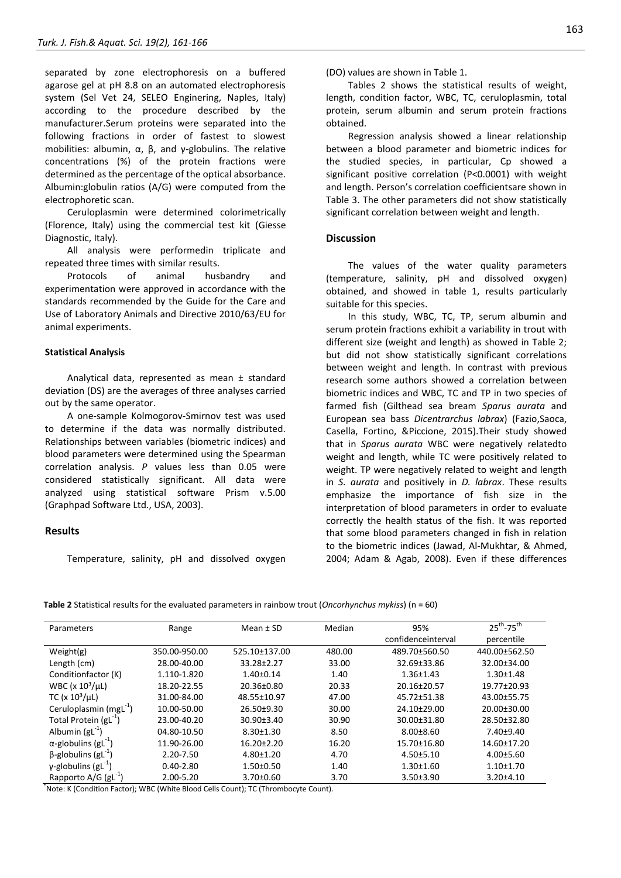separated by zone electrophoresis on a buffered agarose gel at pH 8.8 on an automated electrophoresis system (Sel Vet 24, SELEO Enginering, Naples, Italy) according to the procedure described by the manufacturer.Serum proteins were separated into the following fractions in order of fastest to slowest mobilities: albumin,  $\alpha$ ,  $\beta$ , and γ-globulins. The relative concentrations (%) of the protein fractions were determined as the percentage of the optical absorbance. Albumin:globulin ratios (A/G) were computed from the electrophoretic scan.

Ceruloplasmin were determined colorimetrically (Florence, Italy) using the commercial test kit (Giesse Diagnostic, Italy).

All analysis were performedin triplicate and repeated three times with similar results.

Protocols of animal husbandry and experimentation were approved in accordance with the standards recommended by the Guide for the Care and Use of Laboratory Animals and Directive 2010/63/EU for animal experiments.

#### **Statistical Analysis**

Analytical data, represented as mean ± standard deviation (DS) are the averages of three analyses carried out by the same operator.

A one-sample Kolmogorov-Smirnov test was used to determine if the data was normally distributed. Relationships between variables (biometric indices) and blood parameters were determined using the Spearman correlation analysis. *P* values less than 0.05 were considered statistically significant. All data were analyzed using statistical software Prism v.5.00 (Graphpad Software Ltd., USA, 2003).

# **Results**

Temperature, salinity, pH and dissolved oxygen

Tables 2 shows the statistical results of weight, length, condition factor, WBC, TC, ceruloplasmin, total protein, serum albumin and serum protein fractions obtained.

Regression analysis showed a linear relationship between a blood parameter and biometric indices for the studied species, in particular, Cp showed a significant positive correlation (P<0.0001) with weight and length. Person's correlation coefficientsare shown in Table 3. The other parameters did not show statistically significant correlation between weight and length.

#### **Discussion**

The values of the water quality parameters (temperature, salinity, pH and dissolved oxygen) obtained, and showed in table 1, results particularly suitable for this species.

In this study, WBC, TC, TP, serum albumin and serum protein fractions exhibit a variability in trout with different size (weight and length) as showed in Table 2; but did not show statistically significant correlations between weight and length. In contrast with previous research some authors showed a correlation between biometric indices and WBC, TC and TP in two species of farmed fish (Gilthead sea bream *Sparus aurata* and European sea bass *Dicentrarchus labrax*) (Fazio,Saoca, Casella, Fortino, &Piccione, 2015).Their study showed that in *Sparus aurata* WBC were negatively relatedto weight and length, while TC were positively related to weight. TP were negatively related to weight and length in *S. aurata* and positively in *D. labrax*. These results emphasize the importance of fish size in the interpretation of blood parameters in order to evaluate correctly the health status of the fish. It was reported that some blood parameters changed in fish in relation to the biometric indices (Jawad, Al-Mukhtar, & Ahmed, 2004; Adam & Agab, 2008). Even if these differences

**Table 2** Statistical results for the evaluated parameters in rainbow trout (*Oncorhynchus mykiss*) (n = 60)

| Parameters                              | Range         | Mean $±$ SD      | Median | 95%                | $25^{th}$ -75 <sup>th</sup> |
|-----------------------------------------|---------------|------------------|--------|--------------------|-----------------------------|
|                                         |               |                  |        | confidenceinterval | percentile                  |
| Weight(g)                               | 350.00-950.00 | 525.10±137.00    | 480.00 | 489.70±560.50      | 440.00±562.50               |
| Length (cm)                             | 28.00-40.00   | 33.28±2.27       | 33.00  | 32.69±33.86        | 32.00±34.00                 |
| Conditionfactor (K)                     | 1.110-1.820   | $1.40 \pm 0.14$  | 1.40   | $1.36 \pm 1.43$    | $1.30 \pm 1.48$             |
| WBC ( $x 103/\mu$ L)                    | 18.20-22.55   | 20.36±0.80       | 20.33  | 20.16±20.57        | 19.77±20.93                 |
| TC (x $10^3/\mu L$ )                    | 31.00-84.00   | 48.55±10.97      | 47.00  | 45.72±51.38        | 43.00±55.75                 |
| Ceruloplasmin (mg $L^{-1}$ )            | 10.00-50.00   | $26.50+9.30$     | 30.00  | 24.10±29.00        | $20.00 \pm 30.00$           |
| Total Protein $(gL^{-1})$               | 23.00-40.20   | $30.90 \pm 3.40$ | 30.90  | 30.00±31.80        | 28.50±32.80                 |
| Albumin $(gL^{-1})$                     | 04.80-10.50   | $8.30 \pm 1.30$  | 8.50   | $8.00 \pm 8.60$    | $7.40 + 9.40$               |
| $\alpha$ -globulins (gL <sup>-1</sup> ) | 11.90-26.00   | $16.20 \pm 2.20$ | 16.20  | 15.70±16.80        | 14.60±17.20                 |
| $\beta$ -globulins (gL <sup>-1</sup> )  | 2.20-7.50     | $4.80 \pm 1.20$  | 4.70   | $4.50 \pm 5.10$    | $4.00 \pm 5.60$             |
| $\gamma$ -globulins (gL <sup>-1</sup> ) | $0.40 - 2.80$ | $1.50 \pm 0.50$  | 1.40   | $1.30 \pm 1.60$    | $1.10 \pm 1.70$             |
| Rapporto $A/G$ (gL <sup>-1</sup> )      | 2.00-5.20     | $3.70 \pm 0.60$  | 3.70   | $3.50 \pm 3.90$    | $3.20 \pm 4.10$             |

\* Note: K (Condition Factor); WBC (White Blood Cells Count); TC (Thrombocyte Count).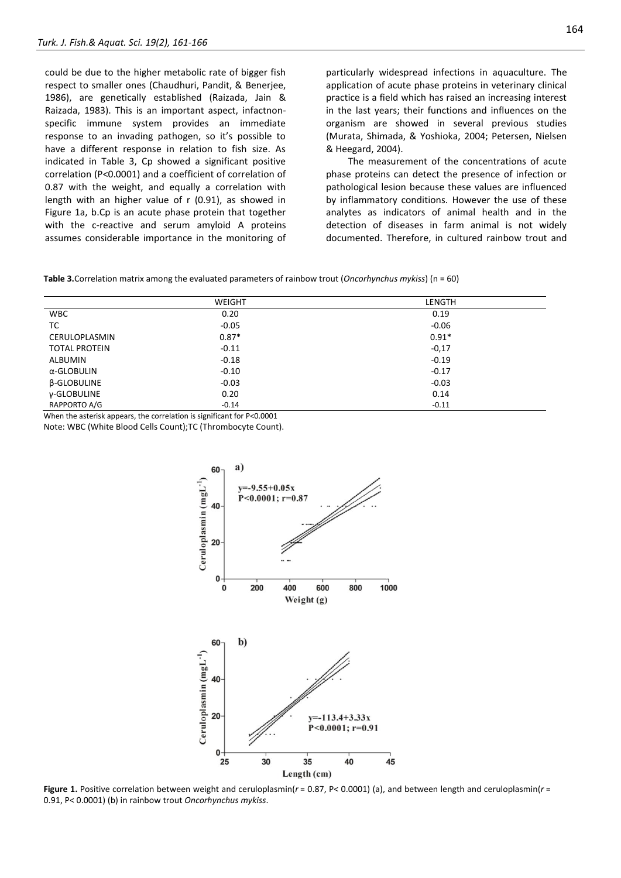could be due to the higher metabolic rate of bigger fish respect to smaller ones (Chaudhuri, Pandit, & Benerjee, 1986), are genetically established (Raizada, Jain & Raizada, 1983). This is an important aspect, infactnonspecific immune system provides an immediate response to an invading pathogen, so it's possible to have a different response in relation to fish size. As indicated in Table 3, Cp showed a significant positive correlation (P<0.0001) and a coefficient of correlation of 0.87 with the weight, and equally a correlation with length with an higher value of r (0.91), as showed in Figure 1a, b.Cp is an acute phase protein that together with the c-reactive and serum amyloid A proteins assumes considerable importance in the monitoring of

particularly widespread infections in aquaculture. The application of acute phase proteins in veterinary clinical practice is a field which has raised an increasing interest in the last years; their functions and influences on the organism are showed in several previous studies (Murata, Shimada, & Yoshioka, 2004; Petersen, Nielsen & Heegard, 2004).

The measurement of the concentrations of acute phase proteins can detect the presence of infection or pathological lesion because these values are influenced by inflammatory conditions. However the use of these analytes as indicators of animal health and in the detection of diseases in farm animal is not widely documented. Therefore, in cultured rainbow trout and

**Table 3.**Correlation matrix among the evaluated parameters of rainbow trout (*Oncorhynchus mykiss*) (n = 60)

|                      | <b>WEIGHT</b> | LENGTH  |
|----------------------|---------------|---------|
| <b>WBC</b>           | 0.20          | 0.19    |
| TC                   | $-0.05$       | $-0.06$ |
| <b>CERULOPLASMIN</b> | $0.87*$       | $0.91*$ |
| <b>TOTAL PROTEIN</b> | $-0.11$       | $-0,17$ |
| <b>ALBUMIN</b>       | $-0.18$       | $-0.19$ |
| α-GLOBULIN           | $-0.10$       | $-0.17$ |
| <b>B-GLOBULINE</b>   | $-0.03$       | $-0.03$ |
| y-GLOBULINE          | 0.20          | 0.14    |
| RAPPORTO A/G         | $-0.14$       | $-0.11$ |

When the asterisk appears, the correlation is significant for P<0.0001

Note: WBC (White Blood Cells Count);TC (Thrombocyte Count).



**Figure 1.** Positive correlation between weight and ceruloplasmin( $r$  = 0.87, P< 0.0001) (a), and between length and ceruloplasmin( $r$  = 0.91, P< 0.0001) (b) in rainbow trout *Oncorhynchus mykiss*.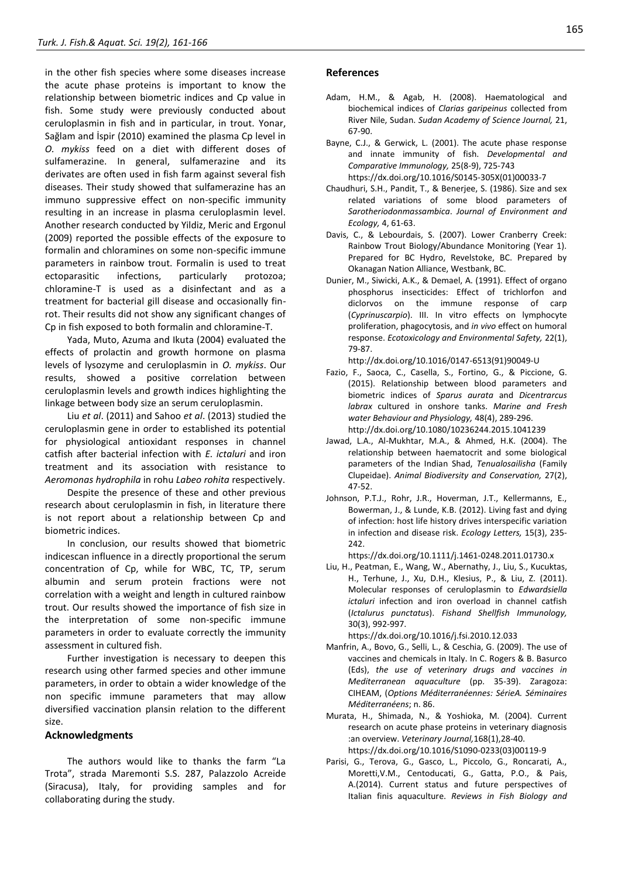in the other fish species where some diseases increase the acute phase proteins is important to know the relationship between biometric indices and Cp value in fish. Some study were previously conducted about ceruloplasmin in fish and in particular, in trout. Yonar, Sağlam and İspir (2010) examined the plasma Cp level in *O. mykiss* feed on a diet with different doses of sulfamerazine. In general, sulfamerazine and its derivates are often used in fish farm against several fish diseases. Their study showed that sulfamerazine has an immuno suppressive effect on non-specific immunity resulting in an increase in plasma ceruloplasmin level. Another research conducted by Yildiz, Meric and Ergonul (2009) reported the possible effects of the exposure to formalin and chloramines on some non-specific immune parameters in rainbow trout. Formalin is used to treat ectoparasitic infections, particularly protozoa; chloramine-T is used as a disinfectant and as a treatment for bacterial gill disease and occasionally finrot. Their results did not show any significant changes of Cp in fish exposed to both formalin and chloramine-T.

Yada, Muto, Azuma and Ikuta (2004) evaluated the effects of prolactin and growth hormone on plasma levels of lysozyme and ceruloplasmin in *O. mykiss*. Our results, showed a positive correlation between ceruloplasmin levels and growth indices highlighting the linkage between body size an serum ceruloplasmin.

Liu *et al*. (2011) and Sahoo *et al*. (2013) studied the ceruloplasmin gene in order to established its potential for physiological antioxidant responses in channel catfish after bacterial infection with *E. ictaluri* and iron treatment and its association with resistance to *Aeromonas hydrophila* in rohu *Labeo rohita* respectively.

Despite the presence of these and other previous research about ceruloplasmin in fish, in literature there is not report about a relationship between Cp and biometric indices.

In conclusion, our results showed that biometric indicescan influence in a directly proportional the serum concentration of Cp, while for WBC, TC, TP, serum albumin and serum protein fractions were not correlation with a weight and length in cultured rainbow trout. Our results showed the importance of fish size in the interpretation of some non-specific immune parameters in order to evaluate correctly the immunity assessment in cultured fish.

Further investigation is necessary to deepen this research using other farmed species and other immune parameters, in order to obtain a wider knowledge of the non specific immune parameters that may allow diversified vaccination plansin relation to the different size.

# **Acknowledgments**

The authors would like to thanks the farm "La Trota", strada Maremonti S.S. 287, Palazzolo Acreide (Siracusa), Italy, for providing samples and for collaborating during the study.

## **References**

- Adam, H.M., & Agab, H. (2008). Haematological and biochemical indices of *Clarias garipeinus* collected from River Nile, Sudan. *Sudan Academy of Science Journal,* 21, 67-90.
- Bayne, C.J., & Gerwick, L. (2001). The acute phase response and innate immunity of fish. *Developmental and Comparative Immunology,* 25(8-9), 725-743 https://dx.doi.org[/10.1016/S0145-305X\(01\)00033-7](https://doi.org/10.1016/S0145-305X%2801%2900033-7)
- Chaudhuri, S.H., Pandit, T., & Benerjee, S. (1986). Size and sex related variations of some blood parameters of *Sarotheriodonmassambica*. *Journal of Environment and Ecology,* 4, 61-63.
- Davis, C., & Lebourdais, S. (2007). Lower Cranberry Creek: Rainbow Trout Biology/Abundance Monitoring (Year 1). Prepared for BC Hydro, Revelstoke, BC. Prepared by Okanagan Nation Alliance, Westbank, BC.
- Dunier, M., Siwicki, A.K., & Demael, A. (1991). Effect of organo phosphorus insecticides: Effect of trichlorfon and diclorvos on the immune response of carp (*Cyprinuscarpio*). III. In vitro effects on lymphocyte proliferation, phagocytosis, and *in vivo* effect on humoral response. *Ecotoxicology and Environmental Safety,* 22(1), 79-87.

http://dx.doi*.*org/10.1016/0147-6513(91)90049-U

- Fazio, F., Saoca, C., Casella, S., Fortino, G., & Piccione, G. (2015). Relationship between blood parameters and biometric indices of *Sparus aurata* and *Dicentrarcus labrax* cultured in onshore tanks. *Marine and Fresh water Behaviour and Physiology,* 48(4), 289-296. <http://dx.doi.org/10.1080/10236244.2015.1041239>
- Jawad, L.A., Al-Mukhtar, M.A., & Ahmed, H.K. (2004). The relationship between haematocrit and some biological parameters of the Indian Shad, *Tenualosailisha* (Family Clupeidae). *Animal Biodiversity and Conservation,* 27(2), 47-52.
- Johnson, P.T.J., Rohr, J.R., Hoverman, J.T., Kellermanns, E., Bowerman, J., & Lunde, K.B. (2012). Living fast and dying of infection: host life history drives interspecific variation in infection and disease risk. *Ecology Letters,* 15(3), 235- 242.

https://dx.doi.org/10.1111/j.1461-0248.2011.01730.x

[Liu, H.,](http://www.ncbi.nlm.nih.gov/pubmed/?term=Liu%20H%5BAuthor%5D&cauthor=true&cauthor_uid=21220026) [Peatman, E.](http://www.ncbi.nlm.nih.gov/pubmed/?term=Peatman%20E%5BAuthor%5D&cauthor=true&cauthor_uid=21220026), [Wang, W.](http://www.ncbi.nlm.nih.gov/pubmed/?term=Wang%20W%5BAuthor%5D&cauthor=true&cauthor_uid=21220026)[, Abernathy, J.](http://www.ncbi.nlm.nih.gov/pubmed/?term=Abernathy%20J%5BAuthor%5D&cauthor=true&cauthor_uid=21220026)[, Liu, S.](http://www.ncbi.nlm.nih.gov/pubmed/?term=Liu%20S%5BAuthor%5D&cauthor=true&cauthor_uid=21220026)[, Kucuktas,](http://www.ncbi.nlm.nih.gov/pubmed/?term=Kucuktas%20H%5BAuthor%5D&cauthor=true&cauthor_uid=21220026)  [H.,](http://www.ncbi.nlm.nih.gov/pubmed/?term=Kucuktas%20H%5BAuthor%5D&cauthor=true&cauthor_uid=21220026) Terhune, J., Xu, D.H., Klesius, P., & Liu, Z. (2011). Molecular responses of ceruloplasmin to *Edwardsiella ictaluri* infection and iron overload in channel catfish (*Ictalurus punctatus*). *[Fishand Shellfish Immunolo](http://www.sciencedirect.com/science/journal/10504648)gy,* 30(3), 992-997.

https://dx.doi.org/10.1016/j.fsi.2010.12.033

- Manfrin, A., Bovo, G., Selli, L., & Ceschia, G. (2009). The use of vaccines and chemicals in Italy. In C. Rogers & B. Basurco (Eds), *the use of veterinary drugs and vaccines in Mediterranean aquaculture* (pp. 35-39). Zaragoza: CIHEAM, (*Options Méditerranéennes: SérieA. Séminaires Méditerranéens*; n. 86.
- Murata, H., Shimada, N., & Yoshioka, M. (2004). Current research on acute phase proteins in veterinary diagnosis :an overview. *Veterinary Journal,*168(1),28-40. https://dx.doi.org[/10.1016/S1090-0233\(03\)00119-9](https://doi.org/10.1016/S1090-0233%2803%2900119-9)
- Parisi, G., Terova, G., Gasco, L., Piccolo, G., Roncarati, A., Moretti,V.M., Centoducati, G., Gatta, P.O., & Pais, A.(2014). Current status and future perspectives of Italian finis aquaculture. *Reviews in Fish Biology and*